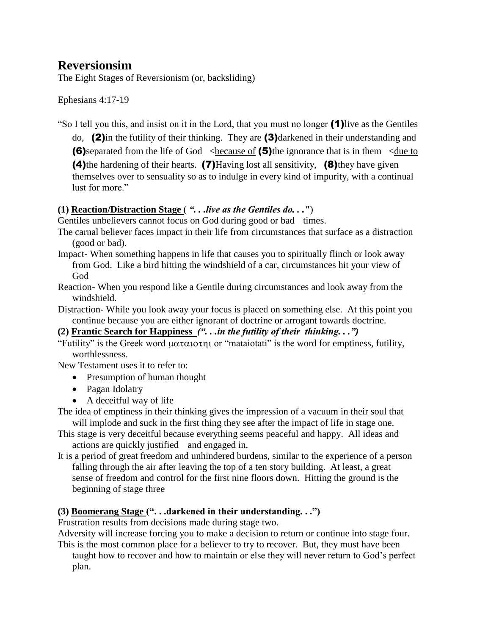# **Reversionsim**

The Eight Stages of Reversionism (or, backsliding)

Ephesians 4:17-19

"So I tell you this, and insist on it in the Lord, that you must no longer (1)live as the Gentiles

do, (2)in the futility of their thinking. They are (3)darkened in their understanding and **(6)**separated from the life of God  $\leq$  because of (5)the ignorance that is in them  $\leq$  due to (4)the hardening of their hearts. (7)Having lost all sensitivity, (8)they have given themselves over to sensuality so as to indulge in every kind of impurity, with a continual lust for more."

## **(1) Reaction/Distraction Stage** ( *". . .live as the Gentiles do. . ."*)

Gentiles unbelievers cannot focus on God during good or bad times.

- The carnal believer faces impact in their life from circumstances that surface as a distraction (good or bad).
- Impact- When something happens in life that causes you to spiritually flinch or look away from God. Like a bird hitting the windshield of a car, circumstances hit your view of God
- Reaction- When you respond like a Gentile during circumstances and look away from the windshield.
- Distraction- While you look away your focus is placed on something else. At this point you continue because you are either ignorant of doctrine or arrogant towards doctrine.

**(2) Frantic Search for Happiness** *(". . .in the futility of their thinking. . .")*

"Futility" is the Greek word  $\mu\alpha\tau\alpha\iota\sigma\tau\eta\iota$  or "mataiotati" is the word for emptiness, futility, worthlessness.

New Testament uses it to refer to:

- Presumption of human thought
- Pagan Idolatry
- A deceitful way of life

The idea of emptiness in their thinking gives the impression of a vacuum in their soul that will implode and suck in the first thing they see after the impact of life in stage one.

- This stage is very deceitful because everything seems peaceful and happy. All ideas and actions are quickly justified and engaged in.
- It is a period of great freedom and unhindered burdens, similar to the experience of a person falling through the air after leaving the top of a ten story building. At least, a great sense of freedom and control for the first nine floors down. Hitting the ground is the beginning of stage three

# **(3) Boomerang Stage (". . .darkened in their understanding. . .")**

Frustration results from decisions made during stage two.

Adversity will increase forcing you to make a decision to return or continue into stage four. This is the most common place for a believer to try to recover. But, they must have been

taught how to recover and how to maintain or else they will never return to God's perfect plan.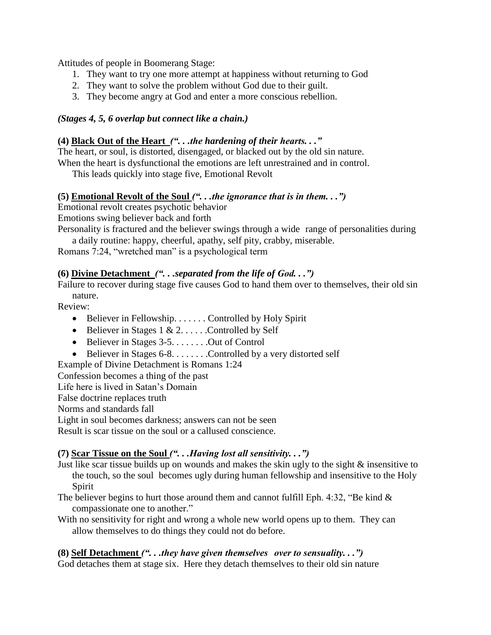Attitudes of people in Boomerang Stage:

- 1. They want to try one more attempt at happiness without returning to God
- 2. They want to solve the problem without God due to their guilt.
- 3. They become angry at God and enter a more conscious rebellion.

#### *(Stages 4, 5, 6 overlap but connect like a chain.)*

#### **(4) Black Out of the Heart** *(". . .the hardening of their hearts. . ."*

The heart, or soul, is distorted, disengaged, or blacked out by the old sin nature.

When the heart is dysfunctional the emotions are left unrestrained and in control.

This leads quickly into stage five, Emotional Revolt

#### **(5) Emotional Revolt of the Soul** *(". . .the ignorance that is in them. . .")*

Emotional revolt creates psychotic behavior

Emotions swing believer back and forth

Personality is fractured and the believer swings through a wide range of personalities during

a daily routine: happy, cheerful, apathy, self pity, crabby, miserable.

Romans 7:24, "wretched man" is a psychological term

#### **(6) Divine Detachment** *(". . .separated from the life of God. . .")*

Failure to recover during stage five causes God to hand them over to themselves, their old sin nature.

Review:

- $\bullet$  Believer in Fellowship. . . . . . . Controlled by Holy Spirit
- $\bullet$  Believer in Stages 1 & 2. . . . . . Controlled by Self
- $\bullet$  Believer in Stages 3-5. . . . . . . . Out of Control
- Believer in Stages 6-8. . . . . . . . . Controlled by a very distorted self

Example of Divine Detachment is Romans 1:24

Confession becomes a thing of the past

Life here is lived in Satan's Domain

False doctrine replaces truth

Norms and standards fall

Light in soul becomes darkness; answers can not be seen

Result is scar tissue on the soul or a callused conscience.

## **(7) Scar Tissue on the Soul** *(". . .Having lost all sensitivity. . .")*

- Just like scar tissue builds up on wounds and makes the skin ugly to the sight & insensitive to the touch, so the soul becomes ugly during human fellowship and insensitive to the Holy Spirit
- The believer begins to hurt those around them and cannot fulfill Eph. 4:32, "Be kind & compassionate one to another."
- With no sensitivity for right and wrong a whole new world opens up to them. They can allow themselves to do things they could not do before.

#### **(8) Self Detachment** *(". . .they have given themselves over to sensuality. . .")*

God detaches them at stage six. Here they detach themselves to their old sin nature